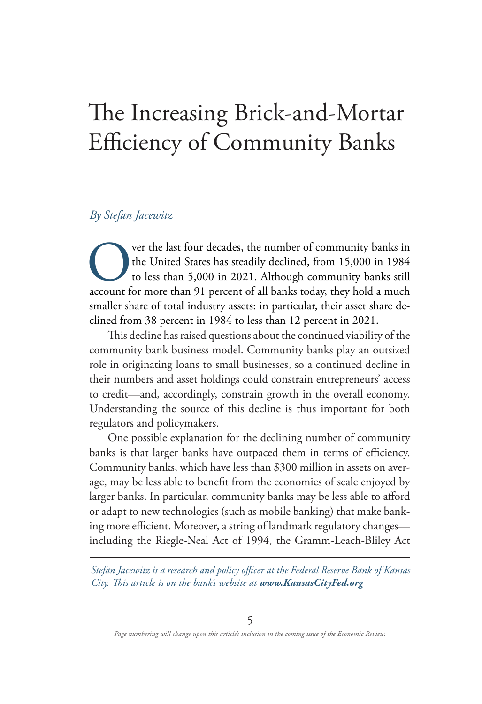# The Increasing Brick-and-Mortar Efficiency of Community Banks

#### *By Stefan Jacewitz*

Over the last four decades, the number of community banks in the United States has steadily declined, from 15,000 in 1984 to less than 5,000 in 2021. Although community banks still account for more than 91 percent of all b the United States has steadily declined, from 15,000 in 1984 to less than 5,000 in 2021. Although community banks still account for more than 91 percent of all banks today, they hold a much smaller share of total industry assets: in particular, their asset share declined from 38 percent in 1984 to less than 12 percent in 2021.

This decline has raised questions about the continued viability of the community bank business model. Community banks play an outsized role in originating loans to small businesses, so a continued decline in their numbers and asset holdings could constrain entrepreneurs' access to credit—and, accordingly, constrain growth in the overall economy. Understanding the source of this decline is thus important for both regulators and policymakers.

One possible explanation for the declining number of community banks is that larger banks have outpaced them in terms of efficiency. Community banks, which have less than \$300 million in assets on average, may be less able to benefit from the economies of scale enjoyed by larger banks. In particular, community banks may be less able to afford or adapt to new technologies (such as mobile banking) that make banking more efficient. Moreover, a string of landmark regulatory changes including the Riegle-Neal Act of 1994, the Gramm-Leach-Bliley Act

*Stefan Jacewitz is a research and policy officer at the Federal Reserve Bank of Kansas City. This article is on the bank's website at www.KansasCityFed.org*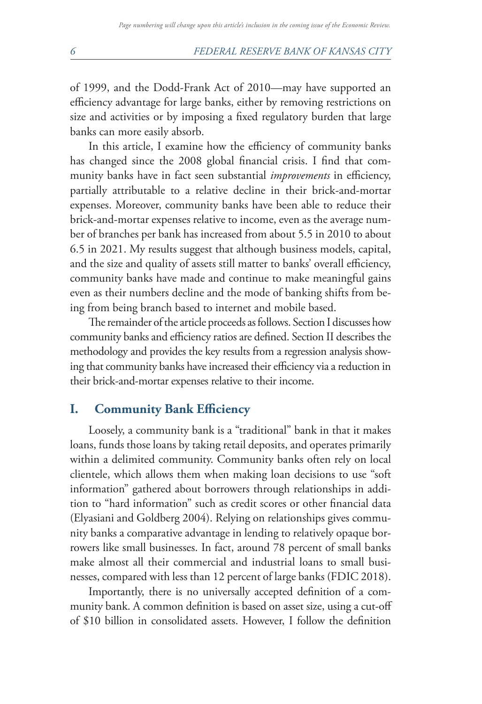of 1999, and the Dodd-Frank Act of 2010—may have supported an efficiency advantage for large banks, either by removing restrictions on size and activities or by imposing a fixed regulatory burden that large banks can more easily absorb.

In this article, I examine how the efficiency of community banks has changed since the 2008 global financial crisis. I find that community banks have in fact seen substantial *improvements* in efficiency, partially attributable to a relative decline in their brick-and-mortar expenses. Moreover, community banks have been able to reduce their brick-and-mortar expenses relative to income, even as the average number of branches per bank has increased from about 5.5 in 2010 to about 6.5 in 2021. My results suggest that although business models, capital, and the size and quality of assets still matter to banks' overall efficiency, community banks have made and continue to make meaningful gains even as their numbers decline and the mode of banking shifts from being from being branch based to internet and mobile based.

The remainder of the article proceeds as follows. Section I discusses how community banks and efficiency ratios are defined. Section II describes the methodology and provides the key results from a regression analysis showing that community banks have increased their efficiency via a reduction in their brick-and-mortar expenses relative to their income.

#### **I. Community Bank Efficiency**

Loosely, a community bank is a "traditional" bank in that it makes loans, funds those loans by taking retail deposits, and operates primarily within a delimited community. Community banks often rely on local clientele, which allows them when making loan decisions to use "soft information" gathered about borrowers through relationships in addition to "hard information" such as credit scores or other financial data (Elyasiani and Goldberg 2004). Relying on relationships gives community banks a comparative advantage in lending to relatively opaque borrowers like small businesses. In fact, around 78 percent of small banks make almost all their commercial and industrial loans to small businesses, compared with less than 12 percent of large banks (FDIC 2018).

Importantly, there is no universally accepted definition of a community bank. A common definition is based on asset size, using a cut-off of \$10 billion in consolidated assets. However, I follow the definition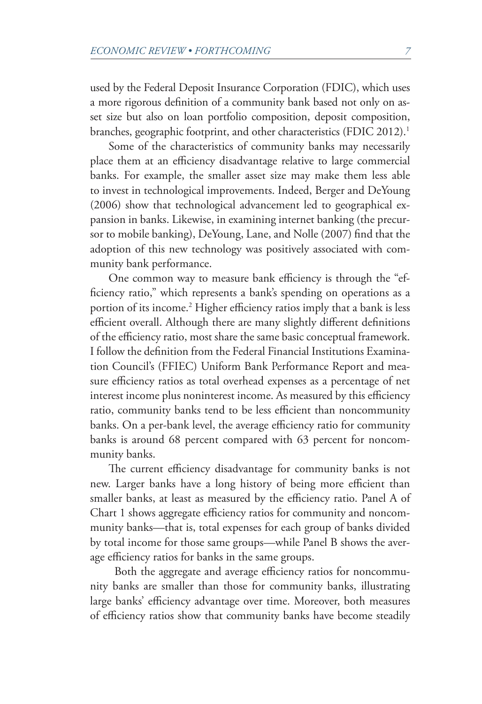<span id="page-2-0"></span>used by the Federal Deposit Insurance Corporation (FDIC), which uses a more rigorous definition of a community bank based not only on asset size but also on loan portfolio composition, deposit composition, branches, geographic footprint, and other characteristics (FDIC 20[1](#page-15-0)2).<sup>1</sup>

Some of the characteristics of community banks may necessarily place them at an efficiency disadvantage relative to large commercial banks. For example, the smaller asset size may make them less able to invest in technological improvements. Indeed, Berger and DeYoung (2006) show that technological advancement led to geographical expansion in banks. Likewise, in examining internet banking (the precursor to mobile banking), DeYoung, Lane, and Nolle (2007) find that the adoption of this new technology was positively associated with community bank performance.

One common way to measure bank efficiency is through the "efficiency ratio," which represents a bank's spending on operations as a portion of its income.<sup>2</sup> Higher efficiency ratios imply that a bank is less efficient overall. Although there are many slightly different definitions of the efficiency ratio, most share the same basic conceptual framework. I follow the definition from the Federal Financial Institutions Examination Council's (FFIEC) Uniform Bank Performance Report and measure efficiency ratios as total overhead expenses as a percentage of net interest income plus noninterest income. As measured by this efficiency ratio, community banks tend to be less efficient than noncommunity banks. On a per-bank level, the average efficiency ratio for community banks is around 68 percent compared with 63 percent for noncommunity banks.

The current efficiency disadvantage for community banks is not new. Larger banks have a long history of being more efficient than smaller banks, at least as measured by the efficiency ratio. Panel A of Chart 1 shows aggregate efficiency ratios for community and noncommunity banks—that is, total expenses for each group of banks divided by total income for those same groups—while Panel B shows the average efficiency ratios for banks in the same groups.

 Both the aggregate and average efficiency ratios for noncommunity banks are smaller than those for community banks, illustrating large banks' efficiency advantage over time. Moreover, both measures of efficiency ratios show that community banks have become steadily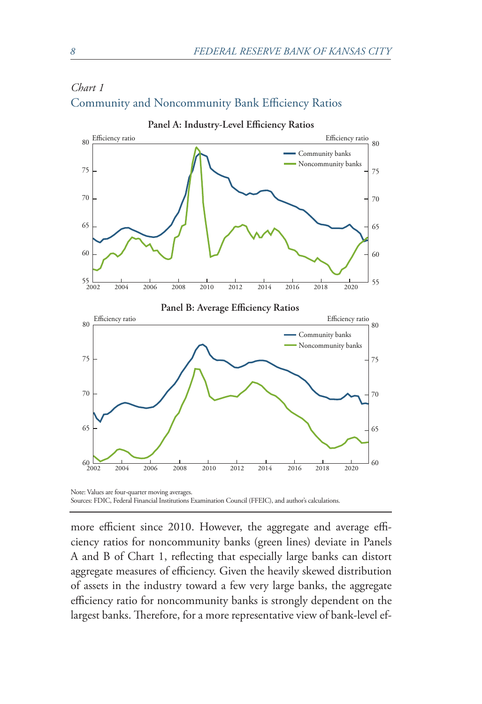

### *Chart 1* Community and Noncommunity Bank Efficiency Ratios

more efficient since 2010. However, the aggregate and average efficiency ratios for noncommunity banks (green lines) deviate in Panels A and B of Chart 1, reflecting that especially large banks can distort aggregate measures of efficiency. Given the heavily skewed distribution of assets in the industry toward a few very large banks, the aggregate efficiency ratio for noncommunity banks is strongly dependent on the largest banks. Therefore, for a more representative view of bank-level ef-

Sources: FDIC, Federal Financial Institutions Examination Council (FFEIC), and author's calculations.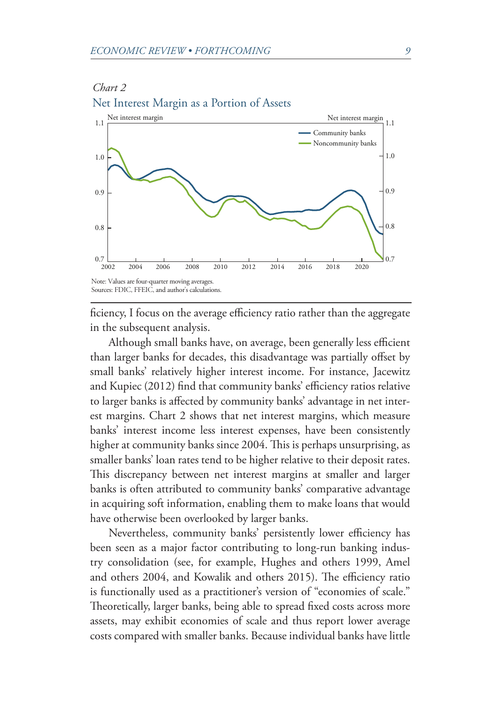*Chart 2*



ficiency, I focus on the average efficiency ratio rather than the aggregate in the subsequent analysis.

Although small banks have, on average, been generally less efficient than larger banks for decades, this disadvantage was partially offset by small banks' relatively higher interest income. For instance, Jacewitz and Kupiec (2012) find that community banks' efficiency ratios relative to larger banks is affected by community banks' advantage in net interest margins. Chart 2 shows that net interest margins, which measure banks' interest income less interest expenses, have been consistently higher at community banks since 2004. This is perhaps unsurprising, as smaller banks' loan rates tend to be higher relative to their deposit rates. This discrepancy between net interest margins at smaller and larger banks is often attributed to community banks' comparative advantage in acquiring soft information, enabling them to make loans that would have otherwise been overlooked by larger banks.

Nevertheless, community banks' persistently lower efficiency has been seen as a major factor contributing to long-run banking industry consolidation (see, for example, Hughes and others 1999, Amel and others 2004, and Kowalik and others 2015). The efficiency ratio is functionally used as a practitioner's version of "economies of scale." Theoretically, larger banks, being able to spread fixed costs across more assets, may exhibit economies of scale and thus report lower average costs compared with smaller banks. Because individual banks have little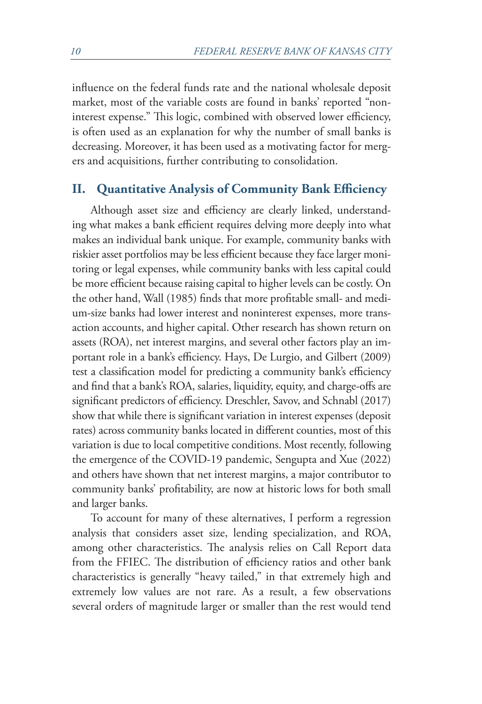influence on the federal funds rate and the national wholesale deposit market, most of the variable costs are found in banks' reported "noninterest expense." This logic, combined with observed lower efficiency, is often used as an explanation for why the number of small banks is decreasing. Moreover, it has been used as a motivating factor for mergers and acquisitions, further contributing to consolidation.

#### **II. Quantitative Analysis of Community Bank Efficiency**

Although asset size and efficiency are clearly linked, understanding what makes a bank efficient requires delving more deeply into what makes an individual bank unique. For example, community banks with riskier asset portfolios may be less efficient because they face larger monitoring or legal expenses, while community banks with less capital could be more efficient because raising capital to higher levels can be costly. On the other hand, Wall (1985) finds that more profitable small- and medium-size banks had lower interest and noninterest expenses, more transaction accounts, and higher capital. Other research has shown return on assets (ROA), net interest margins, and several other factors play an important role in a bank's efficiency. Hays, De Lurgio, and Gilbert (2009) test a classification model for predicting a community bank's efficiency and find that a bank's ROA, salaries, liquidity, equity, and charge-offs are significant predictors of efficiency. Dreschler, Savov, and Schnabl (2017) show that while there is significant variation in interest expenses (deposit rates) across community banks located in different counties, most of this variation is due to local competitive conditions. Most recently, following the emergence of the COVID-19 pandemic, Sengupta and Xue (2022) and others have shown that net interest margins, a major contributor to community banks' profitability, are now at historic lows for both small and larger banks.

To account for many of these alternatives, I perform a regression analysis that considers asset size, lending specialization, and ROA, among other characteristics. The analysis relies on Call Report data from the FFIEC. The distribution of efficiency ratios and other bank characteristics is generally "heavy tailed," in that extremely high and extremely low values are not rare. As a result, a few observations several orders of magnitude larger or smaller than the rest would tend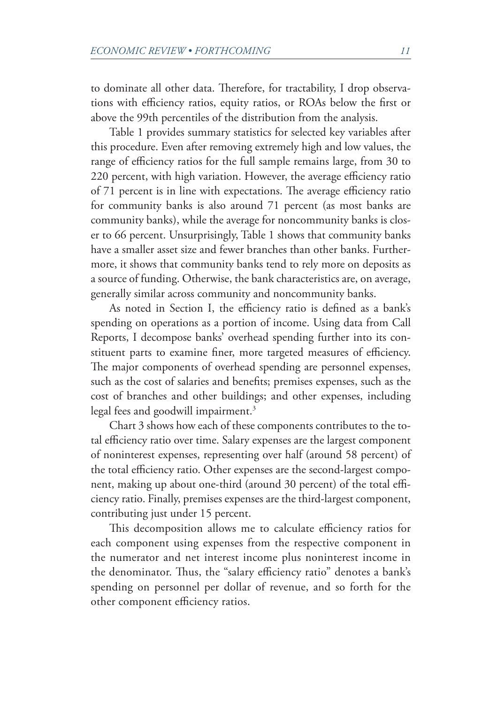<span id="page-6-0"></span>to dominate all other data. Therefore, for tractability, I drop observations with efficiency ratios, equity ratios, or ROAs below the first or above the 99th percentiles of the distribution from the analysis.

Table 1 provides summary statistics for selected key variables after this procedure. Even after removing extremely high and low values, the range of efficiency ratios for the full sample remains large, from 30 to 220 percent, with high variation. However, the average efficiency ratio of 71 percent is in line with expectations. The average efficiency ratio for community banks is also around 71 percent (as most banks are community banks), while the average for noncommunity banks is closer to 66 percent. Unsurprisingly, Table 1 shows that community banks have a smaller asset size and fewer branches than other banks. Furthermore, it shows that community banks tend to rely more on deposits as a source of funding. Otherwise, the bank characteristics are, on average, generally similar across community and noncommunity banks.

As noted in Section I, the efficiency ratio is defined as a bank's spending on operations as a portion of income. Using data from Call Reports, I decompose banks' overhead spending further into its constituent parts to examine finer, more targeted measures of efficiency. The major components of overhead spending are personnel expenses, such as the cost of salaries and benefits; premises expenses, such as the cost of branches and other buildings; and other expenses, including legal fees and goodwill impairment.<sup>3</sup>

Chart 3 shows how each of these components contributes to the total efficiency ratio over time. Salary expenses are the largest component of noninterest expenses, representing over half (around 58 percent) of the total efficiency ratio. Other expenses are the second-largest component, making up about one-third (around 30 percent) of the total efficiency ratio. Finally, premises expenses are the third-largest component, contributing just under 15 percent.

This decomposition allows me to calculate efficiency ratios for each component using expenses from the respective component in the numerator and net interest income plus noninterest income in the denominator. Thus, the "salary efficiency ratio" denotes a bank's spending on personnel per dollar of revenue, and so forth for the other component efficiency ratios.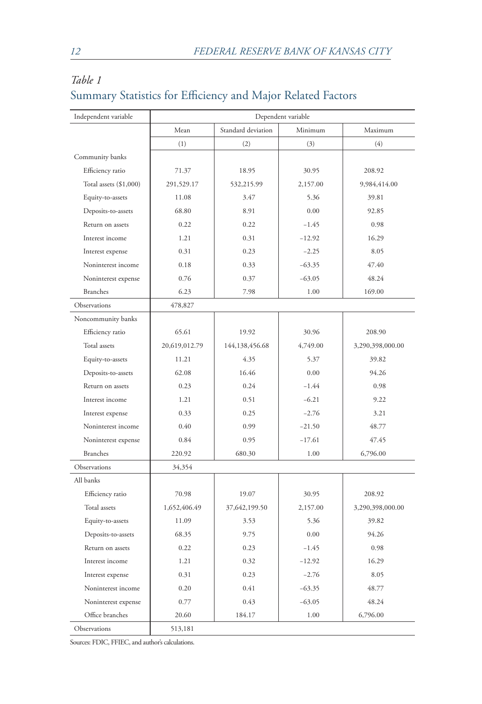| Independent variable   | Dependent variable |                    |          |                  |  |
|------------------------|--------------------|--------------------|----------|------------------|--|
|                        | Mean               | Standard deviation | Minimum  | Maximum          |  |
|                        | (1)                | (2)                | (3)      | (4)              |  |
| Community banks        |                    |                    |          |                  |  |
| Efficiency ratio       | 71.37              | 18.95              | 30.95    | 208.92           |  |
| Total assets (\$1,000) | 291,529.17         | 532,215.99         | 2,157.00 | 9,984,414.00     |  |
| Equity-to-assets       | 11.08              | 3.47               | 5.36     | 39.81            |  |
| Deposits-to-assets     | 68.80              | 8.91               | 0.00     | 92.85            |  |
| Return on assets       | 0.22               | 0.22               | $-1.45$  | 0.98             |  |
| Interest income        | 1.21               | 0.31               | $-12.92$ | 16.29            |  |
| Interest expense       | 0.31               | 0.23               | $-2.25$  | 8.05             |  |
| Noninterest income     | 0.18               | 0.33               | $-63.35$ | 47.40            |  |
| Noninterest expense    | 0.76               | 0.37               | $-63.05$ | 48.24            |  |
| <b>Branches</b>        | 6.23               | 7.98               | 1.00     | 169.00           |  |
| Observations           | 478,827            |                    |          |                  |  |
| Noncommunity banks     |                    |                    |          |                  |  |
| Efficiency ratio       | 65.61              | 19.92              | 30.96    | 208.90           |  |
| Total assets           | 20,619,012.79      | 144,138,456.68     | 4,749.00 | 3,290,398,000.00 |  |
| Equity-to-assets       | 11.21              | 4.35               | 5.37     | 39.82            |  |
| Deposits-to-assets     | 62.08              | 16.46              | 0.00     | 94.26            |  |
| Return on assets       | 0.23               | 0.24               | $-1.44$  | 0.98             |  |
| Interest income        | 1.21               | 0.51               | $-6.21$  | 9.22             |  |
| Interest expense       | 0.33               | 0.25               | $-2.76$  | 3.21             |  |
| Noninterest income     | 0.40               | 0.99               | $-21.50$ | 48.77            |  |
| Noninterest expense    | 0.84               | 0.95               | $-17.61$ | 47.45            |  |
| <b>Branches</b>        | 220.92             | 680.30             | 1.00     | 6,796.00         |  |
| Observations           | 34,354             |                    |          |                  |  |
| All banks              |                    |                    |          |                  |  |
| Efficiency ratio       | 70.98              | 19.07              | 30.95    | 208.92           |  |
| Total assets           | 1,652,406.49       | 37,642,199.50      | 2,157.00 | 3,290,398,000.00 |  |
| Equity-to-assets       | 11.09              | 3.53               | 5.36     | 39.82            |  |
| Deposits-to-assets     | 68.35              | 9.75               | 0.00     | 94.26            |  |
| Return on assets       | 0.22               | 0.23               | $-1.45$  | 0.98             |  |
| Interest income        | 1.21               | 0.32               | $-12.92$ | 16.29            |  |
| Interest expense       | 0.31               | 0.23               | $-2.76$  | 8.05             |  |
| Noninterest income     | 0.20               | 0.41               | $-63.35$ | 48.77            |  |
| Noninterest expense    | 0.77               | 0.43               | $-63.05$ | 48.24            |  |
| Office branches        | 20.60              | 184.17             | 1.00     | 6,796.00         |  |
| Observations           | 513,181            |                    |          |                  |  |

# *Table 1* Summary Statistics for Efficiency and Major Related Factors

Sources: FDIC, FFIEC, and author's calculations.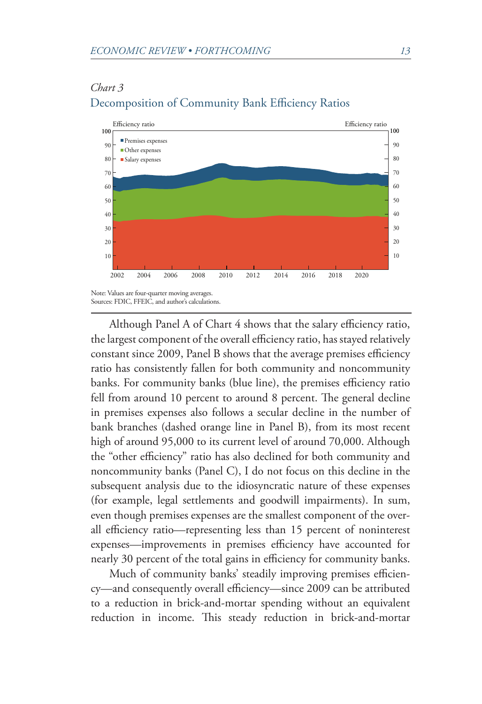#### *Chart 3*



#### Decomposition of Community Bank Efficiency Ratios

Although Panel A of Chart 4 shows that the salary efficiency ratio, the largest component of the overall efficiency ratio, has stayed relatively constant since 2009, Panel B shows that the average premises efficiency ratio has consistently fallen for both community and noncommunity banks. For community banks (blue line), the premises efficiency ratio fell from around 10 percent to around 8 percent. The general decline in premises expenses also follows a secular decline in the number of bank branches (dashed orange line in Panel B), from its most recent high of around 95,000 to its current level of around 70,000. Although the "other efficiency" ratio has also declined for both community and noncommunity banks (Panel C), I do not focus on this decline in the subsequent analysis due to the idiosyncratic nature of these expenses (for example, legal settlements and goodwill impairments). In sum, even though premises expenses are the smallest component of the overall efficiency ratio—representing less than 15 percent of noninterest expenses—improvements in premises efficiency have accounted for nearly 30 percent of the total gains in efficiency for community banks.

Much of community banks' steadily improving premises efficiency—and consequently overall efficiency—since 2009 can be attributed to a reduction in brick-and-mortar spending without an equivalent reduction in income. This steady reduction in brick-and-mortar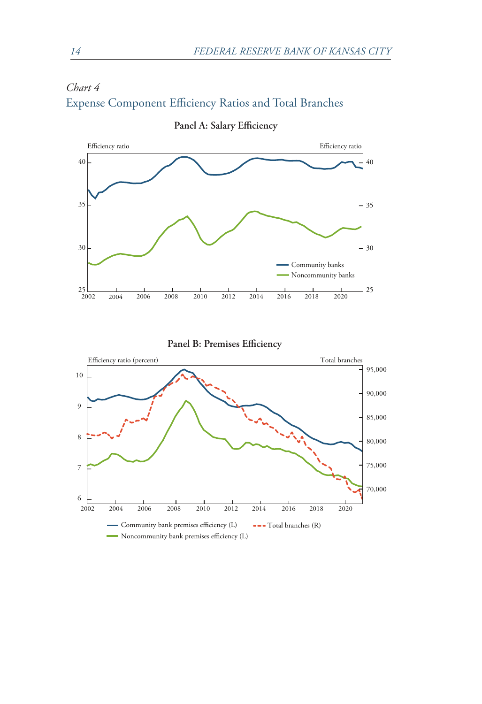







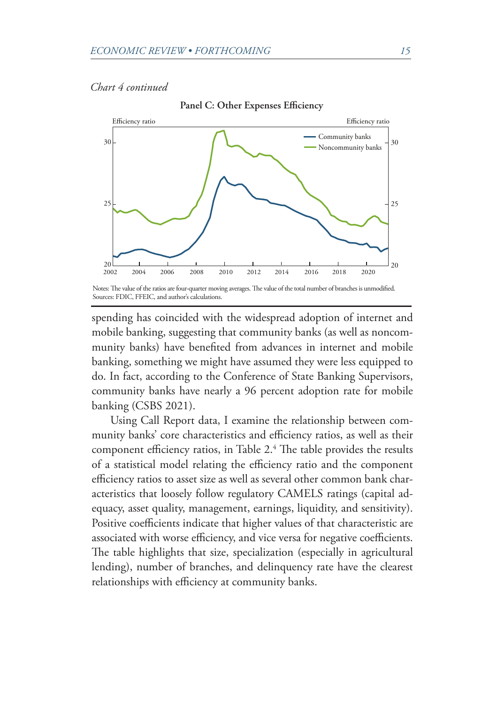#### <span id="page-10-0"></span>*Chart 4 continued*



**Panel C: Other Expenses Efficiency**

Sources: FDIC, FFEIC, and author's calculations.

spending has coincided with the widespread adoption of internet and mobile banking, suggesting that community banks (as well as noncommunity banks) have benefited from advances in internet and mobile banking, something we might have assumed they were less equipped to do. In fact, according to the Conference of State Banking Supervisors, community banks have nearly a 96 percent adoption rate for mobile banking (CSBS 2021).

Using Call Report data, I examine the relationship between community banks' core characteristics and efficiency ratios, as well as their component efficiency ratios, in Table 2[.4](#page-15-0) The table provides the results of a statistical model relating the efficiency ratio and the component efficiency ratios to asset size as well as several other common bank characteristics that loosely follow regulatory CAMELS ratings (capital adequacy, asset quality, management, earnings, liquidity, and sensitivity). Positive coefficients indicate that higher values of that characteristic are associated with worse efficiency, and vice versa for negative coefficients. The table highlights that size, specialization (especially in agricultural lending), number of branches, and delinquency rate have the clearest relationships with efficiency at community banks.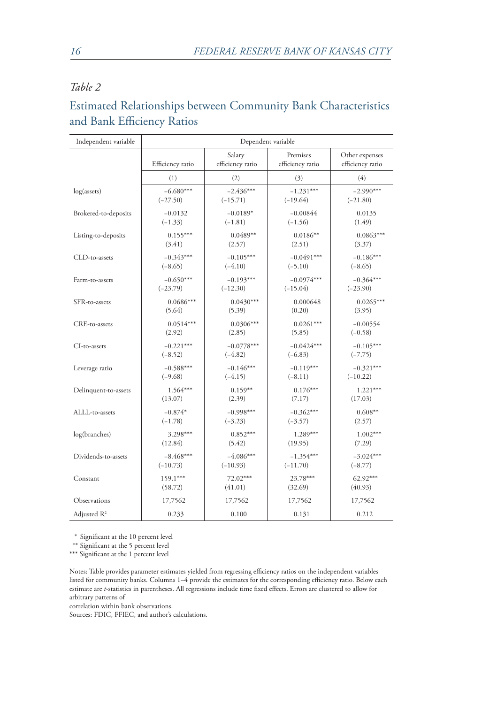## *Table 2*

# Estimated Relationships between Community Bank Characteristics and Bank Efficiency Ratios

| Independent variable    | Dependent variable |                            |                              |                                    |  |
|-------------------------|--------------------|----------------------------|------------------------------|------------------------------------|--|
|                         | Efficiency ratio   | Salary<br>efficiency ratio | Premises<br>efficiency ratio | Other expenses<br>efficiency ratio |  |
|                         | (1)                | (2)                        | (3)                          | (4)                                |  |
| log(asserts)            | $-6.680***$        | $-2.436***$                | $-1.231***$                  | $-2.990***$                        |  |
|                         | $(-27.50)$         | $(-15.71)$                 | $(-19.64)$                   | $(-21.80)$                         |  |
| Brokered-to-deposits    | $-0.0132$          | $-0.0189*$                 | $-0.00844$                   | 0.0135                             |  |
|                         | $(-1.33)$          | $(-1.81)$                  | $(-1.56)$                    | (1.49)                             |  |
| Listing-to-deposits     | $0.155***$         | $0.0489**$                 | $0.0186**$                   | $0.0863***$                        |  |
|                         | (3.41)             | (2.57)                     | (2.51)                       | (3.37)                             |  |
| CLD-to-assets           | $-0.343***$        | $-0.105***$                | $-0.0491***$                 | $-0.186***$                        |  |
|                         | $(-8.65)$          | $(-4.10)$                  | $(-5.10)$                    | $(-8.65)$                          |  |
| Farm-to-assets          | $-0.650***$        | $-0.193***$                | $-0.0974***$                 | $-0.364***$                        |  |
|                         | $(-23.79)$         | $(-12.30)$                 | $(-15.04)$                   | $(-23.90)$                         |  |
| SFR-to-assets           | $0.0686***$        | $0.0430***$                | 0.000648                     | $0.0265***$                        |  |
|                         | (5.64)             | (5.39)                     | (0.20)                       | (3.95)                             |  |
| CRE-to-assets           | $0.0514***$        | $0.0306***$                | $0.0261***$                  | $-0.00554$                         |  |
|                         | (2.92)             | (2.85)                     | (5.85)                       | $(-0.58)$                          |  |
| CI-to-assets            | $-0.221***$        | $-0.0778***$               | $-0.0424***$                 | $-0.105***$                        |  |
|                         | $(-8.52)$          | $(-4.82)$                  | $(-6.83)$                    | $(-7.75)$                          |  |
| Leverage ratio          | $-0.588***$        | $-0.146***$                | $-0.119***$                  | $-0.321***$                        |  |
|                         | $(-9.68)$          | $(-4.15)$                  | $(-8.11)$                    | $(-10.22)$                         |  |
| Delinquent-to-assets    | 1.564***           | $0.159**$                  | $0.176***$                   | $1.221***$                         |  |
|                         | (13.07)            | (2.39)                     | (7.17)                       | (17.03)                            |  |
| ALLL-to-assets          | $-0.874*$          | $-0.998***$                | $-0.362***$                  | $0.608**$                          |  |
|                         | $(-1.78)$          | $(-3.23)$                  | $(-3.57)$                    | (2.57)                             |  |
| log(branches)           | 3.298***           | $0.852***$                 | $1.289***$                   | $1.002***$                         |  |
|                         | (12.84)            | (5.42)                     | (19.95)                      | (7.29)                             |  |
| Dividends-to-assets     | $-8.468***$        | $-4.086***$                | $-1.354***$                  | $-3.024***$                        |  |
|                         | $(-10.73)$         | $(-10.93)$                 | $(-11.70)$                   | $(-8.77)$                          |  |
| Constant                | $159.1***$         | 72.02***                   | 23.78***                     | 62.92***                           |  |
|                         | (58.72)            | (41.01)                    | (32.69)                      | (40.93)                            |  |
| Observations            | 17,7562            | 17,7562                    | 17,7562                      | 17,7562                            |  |
| Adjusted R <sup>2</sup> | 0.233              | 0.100                      | 0.131                        | 0.212                              |  |

\* Significant at the 10 percent level

\*\* Significant at the 5 percent level

\*\*\* Significant at the 1 percent level

Notes: Table provides parameter estimates yielded from regressing efficiency ratios on the independent variables listed for community banks. Columns 1–4 provide the estimates for the corresponding efficiency ratio. Below each estimate are *t*-statistics in parentheses. All regressions include time fixed effects. Errors are clustered to allow for arbitrary patterns of

correlation within bank observations.

Sources: FDIC, FFIEC, and author's calculations.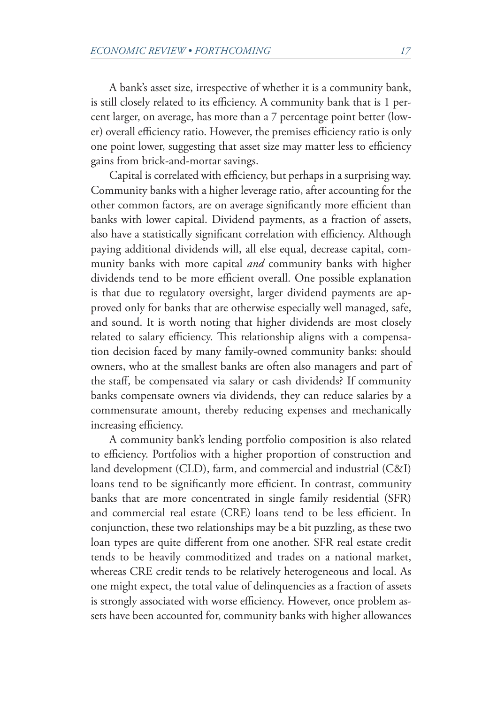A bank's asset size, irrespective of whether it is a community bank, is still closely related to its efficiency. A community bank that is 1 percent larger, on average, has more than a 7 percentage point better (lower) overall efficiency ratio. However, the premises efficiency ratio is only one point lower, suggesting that asset size may matter less to efficiency gains from brick-and-mortar savings.

Capital is correlated with efficiency, but perhaps in a surprising way. Community banks with a higher leverage ratio, after accounting for the other common factors, are on average significantly more efficient than banks with lower capital. Dividend payments, as a fraction of assets, also have a statistically significant correlation with efficiency. Although paying additional dividends will, all else equal, decrease capital, community banks with more capital *and* community banks with higher dividends tend to be more efficient overall. One possible explanation is that due to regulatory oversight, larger dividend payments are approved only for banks that are otherwise especially well managed, safe, and sound. It is worth noting that higher dividends are most closely related to salary efficiency. This relationship aligns with a compensation decision faced by many family-owned community banks: should owners, who at the smallest banks are often also managers and part of the staff, be compensated via salary or cash dividends? If community banks compensate owners via dividends, they can reduce salaries by a commensurate amount, thereby reducing expenses and mechanically increasing efficiency.

A community bank's lending portfolio composition is also related to efficiency. Portfolios with a higher proportion of construction and land development (CLD), farm, and commercial and industrial (C&I) loans tend to be significantly more efficient. In contrast, community banks that are more concentrated in single family residential (SFR) and commercial real estate (CRE) loans tend to be less efficient. In conjunction, these two relationships may be a bit puzzling, as these two loan types are quite different from one another. SFR real estate credit tends to be heavily commoditized and trades on a national market, whereas CRE credit tends to be relatively heterogeneous and local. As one might expect, the total value of delinquencies as a fraction of assets is strongly associated with worse efficiency. However, once problem assets have been accounted for, community banks with higher allowances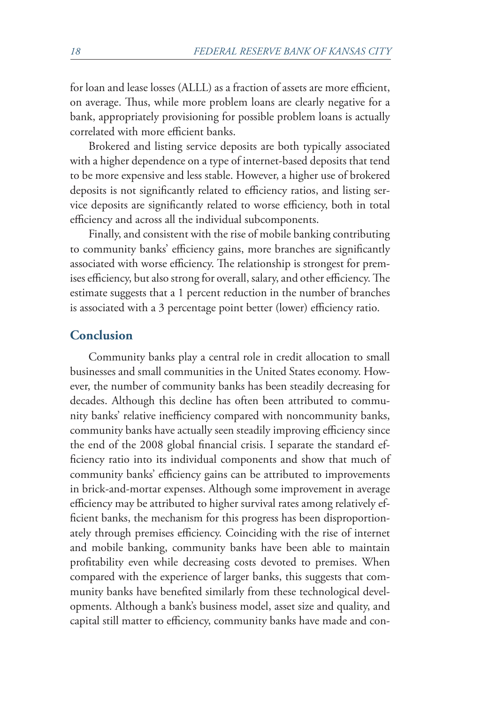for loan and lease losses (ALLL) as a fraction of assets are more efficient, on average. Thus, while more problem loans are clearly negative for a bank, appropriately provisioning for possible problem loans is actually correlated with more efficient banks.

Brokered and listing service deposits are both typically associated with a higher dependence on a type of internet-based deposits that tend to be more expensive and less stable. However, a higher use of brokered deposits is not significantly related to efficiency ratios, and listing service deposits are significantly related to worse efficiency, both in total efficiency and across all the individual subcomponents.

Finally, and consistent with the rise of mobile banking contributing to community banks' efficiency gains, more branches are significantly associated with worse efficiency. The relationship is strongest for premises efficiency, but also strong for overall, salary, and other efficiency. The estimate suggests that a 1 percent reduction in the number of branches is associated with a 3 percentage point better (lower) efficiency ratio.

#### **Conclusion**

Community banks play a central role in credit allocation to small businesses and small communities in the United States economy. However, the number of community banks has been steadily decreasing for decades. Although this decline has often been attributed to community banks' relative inefficiency compared with noncommunity banks, community banks have actually seen steadily improving efficiency since the end of the 2008 global financial crisis. I separate the standard efficiency ratio into its individual components and show that much of community banks' efficiency gains can be attributed to improvements in brick-and-mortar expenses. Although some improvement in average efficiency may be attributed to higher survival rates among relatively efficient banks, the mechanism for this progress has been disproportionately through premises efficiency. Coinciding with the rise of internet and mobile banking, community banks have been able to maintain profitability even while decreasing costs devoted to premises. When compared with the experience of larger banks, this suggests that community banks have benefited similarly from these technological developments. Although a bank's business model, asset size and quality, and capital still matter to efficiency, community banks have made and con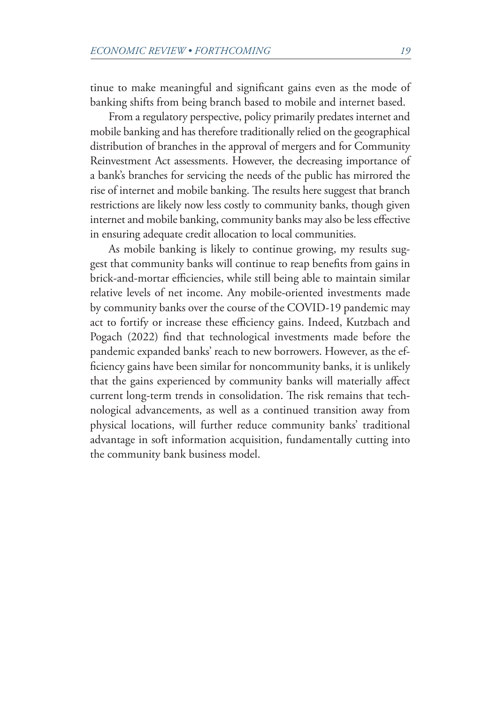tinue to make meaningful and significant gains even as the mode of banking shifts from being branch based to mobile and internet based.

From a regulatory perspective, policy primarily predates internet and mobile banking and has therefore traditionally relied on the geographical distribution of branches in the approval of mergers and for Community Reinvestment Act assessments. However, the decreasing importance of a bank's branches for servicing the needs of the public has mirrored the rise of internet and mobile banking. The results here suggest that branch restrictions are likely now less costly to community banks, though given internet and mobile banking, community banks may also be less effective in ensuring adequate credit allocation to local communities.

As mobile banking is likely to continue growing, my results suggest that community banks will continue to reap benefits from gains in brick-and-mortar efficiencies, while still being able to maintain similar relative levels of net income. Any mobile-oriented investments made by community banks over the course of the COVID-19 pandemic may act to fortify or increase these efficiency gains. Indeed, Kutzbach and Pogach (2022) find that technological investments made before the pandemic expanded banks' reach to new borrowers. However, as the efficiency gains have been similar for noncommunity banks, it is unlikely that the gains experienced by community banks will materially affect current long-term trends in consolidation. The risk remains that technological advancements, as well as a continued transition away from physical locations, will further reduce community banks' traditional advantage in soft information acquisition, fundamentally cutting into the community bank business model.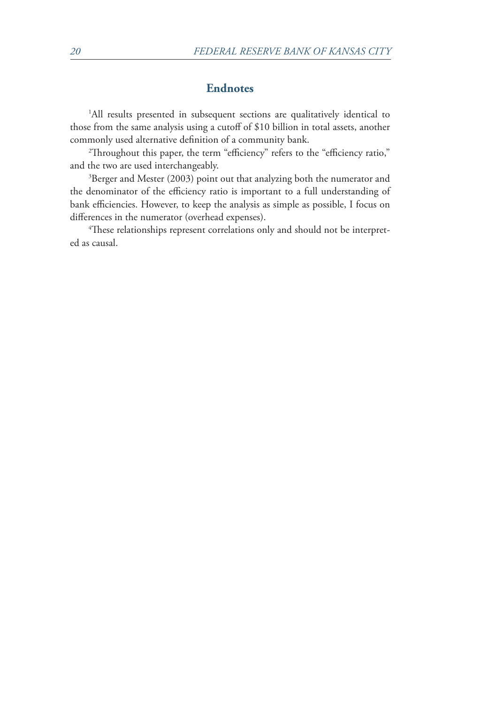#### **Endnotes**

<span id="page-15-0"></span>[1](#page-2-0) All results presented in subsequent sections are qualitatively identical to those from the same analysis using a cutoff of \$10 billion in total assets, another commonly used alternative definition of a community bank. [2](#page-2-0)

<sup>2</sup>Throughout this paper, the term "efficiency" refers to the "efficiency ratio," and the two are used interchangeably.

<sup>[3](#page-6-0)</sup>Berger and Mester (2003) point out that analyzing both the numerator and the denominator of the efficiency ratio is important to a full understanding of bank efficiencies. However, to keep the analysis as simple as possible, I focus on differences in the numerator (overhead expenses).

 $\rm ^4$  $\rm ^4$ These relationships represent correlations only and should not be interpreted as causal.